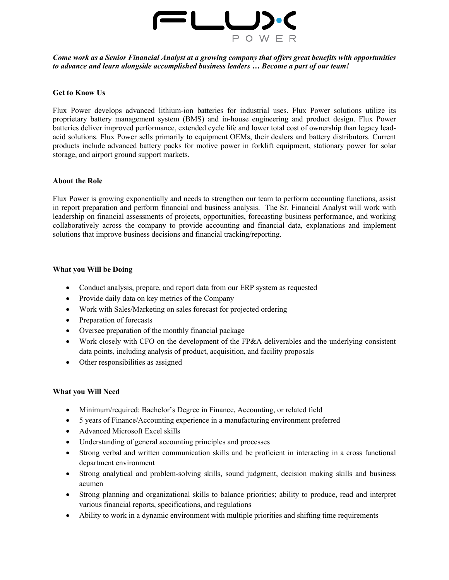

*Come work as a Senior Financial Analyst at a growing company that offers great benefits with opportunities to advance and learn alongside accomplished business leaders … Become a part of our team!* 

### **Get to Know Us**

Flux Power develops advanced lithium-ion batteries for industrial uses. Flux Power solutions utilize its proprietary battery management system (BMS) and in-house engineering and product design. Flux Power batteries deliver improved performance, extended cycle life and lower total cost of ownership than legacy leadacid solutions. Flux Power sells primarily to equipment OEMs, their dealers and battery distributors. Current products include advanced battery packs for motive power in forklift equipment, stationary power for solar storage, and airport ground support markets.

#### **About the Role**

Flux Power is growing exponentially and needs to strengthen our team to perform accounting functions, assist in report preparation and perform financial and business analysis. The Sr. Financial Analyst will work with leadership on financial assessments of projects, opportunities, forecasting business performance, and working collaboratively across the company to provide accounting and financial data, explanations and implement solutions that improve business decisions and financial tracking/reporting.

#### **What you Will be Doing**

- Conduct analysis, prepare, and report data from our ERP system as requested
- Provide daily data on key metrics of the Company
- Work with Sales/Marketing on sales forecast for projected ordering
- Preparation of forecasts
- Oversee preparation of the monthly financial package
- Work closely with CFO on the development of the FP&A deliverables and the underlying consistent data points, including analysis of product, acquisition, and facility proposals
- Other responsibilities as assigned

### **What you Will Need**

- Minimum/required: Bachelor's Degree in Finance, Accounting, or related field
- 5 years of Finance/Accounting experience in a manufacturing environment preferred
- Advanced Microsoft Excel skills
- Understanding of general accounting principles and processes
- Strong verbal and written communication skills and be proficient in interacting in a cross functional department environment
- Strong analytical and problem-solving skills, sound judgment, decision making skills and business acumen
- Strong planning and organizational skills to balance priorities; ability to produce, read and interpret various financial reports, specifications, and regulations
- Ability to work in a dynamic environment with multiple priorities and shifting time requirements